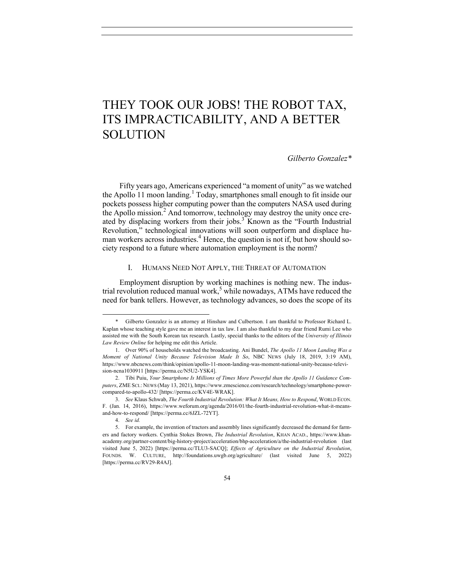# THEY TOOK OUR JOBS! THE ROBOT TAX, ITS IMPRACTICABILITY, AND A BETTER SOLUTION

*Gilberto Gonzalez\**

Fifty years ago, Americans experienced "a moment of unity" as we watched the Apollo 11 moon landing.<sup>1</sup> Today, smartphones small enough to fit inside our pockets possess higher computing power than the computers NASA used during the Apollo mission.<sup>2</sup> And tomorrow, technology may destroy the unity once created by displacing workers from their jobs.<sup>3</sup> Known as the "Fourth Industrial" Revolution," technological innovations will soon outperform and displace human workers across industries.<sup>4</sup> Hence, the question is not if, but how should society respond to a future where automation employment is the norm?

#### I. HUMANS NEED NOT APPLY, THE THREAT OF AUTOMATION

Employment disruption by working machines is nothing new. The industrial revolution reduced manual work,<sup>5</sup> while nowadays, ATMs have reduced the need for bank tellers. However, as technology advances, so does the scope of its

Gilberto Gonzalez is an attorney at Hinshaw and Culbertson. I am thankful to Professor Richard L. Kaplan whose teaching style gave me an interest in tax law. I am also thankful to my dear friend Rumi Lee who assisted me with the South Korean tax research. Lastly, special thanks to the editors of the *University of Illinois Law Review Online* for helping me edit this Article.

<sup>1.</sup> Over 90% of households watched the broadcasting. Ani Bundel, *The Apollo 11 Moon Landing Was a Moment of National Unity Because Television Made It So*, NBC NEWS (July 18, 2019, 3:19 AM), https://www.nbcnews.com/think/opinion/apollo-11-moon-landing-was-moment-national-unity-because-television-ncna1030911 [https://perma.cc/N5U2-YSK4].

<sup>2.</sup> Tibi Puiu, *Your Smartphone Is Millions of Times More Powerful than the Apollo 11 Guidance Computers*, ZME SCI.: NEWS (May 13, 2021), https://www.zmescience.com/research/technology/smartphone-powercompared-to-apollo-432/ [https://perma.cc/KV4E-WRAK].

<sup>3.</sup> *See* Klaus Schwab, *The Fourth Industrial Revolution: What It Means, How to Respond*, WORLD ECON. F. (Jan. 14, 2016), https://www.weforum.org/agenda/2016/01/the-fourth-industrial-revolution-what-it-meansand-how-to-respond/ [https://perma.cc/6JZL-72YT].

<sup>4.</sup> *See id.*

<sup>5.</sup> For example, the invention of tractors and assembly lines significantly decreased the demand for farmers and factory workers. Cynthia Stokes Brown, *The Industrial Revolution*, KHAN ACAD., https://www.khanacademy.org/partner-content/big-history-project/acceleration/bhp-acceleration/a/the-industrial-revolution (last visited June 5, 2022) [https://perma.cc/TLU3-SACQ]; *Effects of Agriculture on the Industrial Revolution*, FOUNDS. W. CULTURE, http://foundations.uwgb.org/agriculture/ (last visited June 5, 2022) [https://perma.cc/RV29-R4AJ].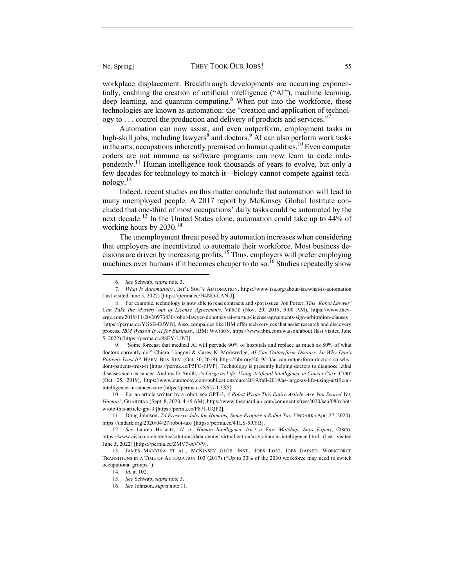workplace displacement. Breakthrough developments are occurring exponentially, enabling the creation of artificial intelligence ("AI"), machine learning, deep learning, and quantum computing.<sup>6</sup> When put into the workforce, these technologies are known as automation: the "creation and application of technology to  $\ldots$  control the production and delivery of products and services."

Automation can now assist, and even outperform, employment tasks in high-skill jobs, including lawyers<sup>8</sup> and doctors.<sup>9</sup> AI can also perform work tasks in the arts, occupations inherently premised on human qualities.<sup>10</sup> Even computer coders are not immune as software programs can now learn to code independently.11 Human intelligence took thousands of years to evolve, but only a few decades for technology to match it—biology cannot compete against tech $n$ ology. $12$ 

Indeed, recent studies on this matter conclude that automation will lead to many unemployed people. A 2017 report by McKinsey Global Institute concluded that one-third of most occupations' daily tasks could be automated by the next decade.<sup>13</sup> In the United States alone, automation could take up to 44% of working hours by  $2030<sup>14</sup>$ 

The unemployment threat posed by automation increases when considering that employers are incentivized to automate their workforce. Most business decisions are driven by increasing profits.<sup>15</sup> Thus, employers will prefer employing machines over humans if it becomes cheaper to do so.<sup>16</sup> Studies repeatedly show

<sup>6.</sup> *See* Schwab, *supra* note 3.

<sup>7.</sup> *What Is Automation?*, INT'L SOC'Y AUTOMATION, https://www.isa.org/about-isa/what-is-automation (last visited June 5, 2022) [https://perma.cc/H4ND-LANU].

<sup>8.</sup> For example, technology is now able to read contracts and spot issues. Jon Porter, *This 'Robot Lawyer' Can Take the Mystery out of License Agreements*, VERGE (Nov. 20, 2019, 9:00 AM), https://www.theverge.com/2019/11/20/20973830/robot-lawyer-donotpay-ai-startup-license-agreements-sign-arbitration-clauses [https://perma.cc/YG6B-DJWB]. Also, companies like IBM offer tech services that assist research and discovery process. *IBM Watson Is AI for Business.*, IBM: WATSON, https://www.ibm.com/watson/about (last visited June 5, 2022) [https://perma.cc/88EY-LJN7].

<sup>9.</sup> "Some forecast that medical AI will pervade 90% of hospitals and replace as much as 80% of what doctors currently do." Chiara Longoni & Carey K. Morewedge, *AI Can Outperform Doctors. So Why Don't Patients Trust It?*, HARV. BUS. REV. (Oct. 30, 2019), https://hbr.org/2019/10/ai-can-outperform-doctors-so-whydont-patients-trust-it [https://perma.cc/P5FC-FJVP]. Technology is presently helping doctors to diagnose lethal diseases such as cancer. Andrew D. Smith, *As Large as Life: Using Artificial Intelligence in Cancer Care*, CURE (Oct. 25, 2019), https://www.curetoday.com/publications/cure/2019/fall-2019/as-large-as-life-using-artificialintelligence-in-cancer-care [https://perma.cc/X657-L3X5].

<sup>10.</sup> For an article written by a robot, see GPT-3, *A Robot Wrote This Entire Article*. *Are You Scared Yet, Human?*, GUARDIAN (Sept. 8, 2020, 4:45 AM), https://www.theguardian.com/commentisfree/2020/sep/08/robotwrote-this-article-gpt-3 [https://perma.cc/P87J-UQP2].

<sup>11.</sup> Doug Johnson, *To Preserve Jobs for Humans, Some Propose a Robot Tax*, UNDARK (Apr. 27, 2020), https://undark.org/2020/04/27/robot-tax/ [https://perma.cc/4TLS-5RYB].

<sup>12.</sup> *See* Lauren Horwitz, *AI vs. Human Intelligence Isn't a Fair Matchup, Says Expert*, CISCO, https://www.cisco.com/c/en/us/solutions/data-center-virtualization/ai-vs-human-intelligence.html (last visited June 5, 2022) [https://perma.cc/ZMV7-AVV9].

<sup>13.</sup> JAMES MANYIKA ET AL., MCKINSEY GLOB. INST., JOBS LOST, JOBS GAINED: WORKFORCE TRANSITIONS IN A TIME OF AUTOMATION 103 (2017) ("Up to 33% of the 2030 workforce may need to switch occupational groups.").

<sup>14.</sup> *Id.* at 102.

<sup>15.</sup> *See* Schwab, *supra* note 3.

<sup>16.</sup> *See* Johnson, *supra* note 11.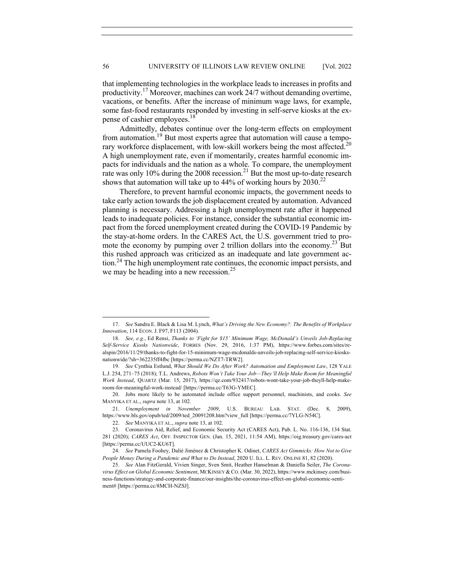that implementing technologies in the workplace leads to increases in profits and productivity.<sup>17</sup> Moreover, machines can work 24/7 without demanding overtime, vacations, or benefits. After the increase of minimum wage laws, for example, some fast-food restaurants responded by investing in self-serve kiosks at the expense of cashier employees.<sup>18</sup>

Admittedly, debates continue over the long-term effects on employment from automation.<sup>19</sup> But most experts agree that automation will cause a temporary workforce displacement, with low-skill workers being the most affected.<sup>20</sup> A high unemployment rate, even if momentarily, creates harmful economic impacts for individuals and the nation as a whole. To compare, the unemployment rate was only 10% during the 2008 recession.<sup>21</sup> But the most up-to-date research shows that automation will take up to  $44\%$  of working hours by  $2030$ <sup>22</sup>

Therefore, to prevent harmful economic impacts, the government needs to take early action towards the job displacement created by automation. Advanced planning is necessary. Addressing a high unemployment rate after it happened leads to inadequate policies. For instance, consider the substantial economic impact from the forced unemployment created during the COVID-19 Pandemic by the stay-at-home orders. In the CARES Act, the U.S. government tried to promote the economy by pumping over 2 trillion dollars into the economy.<sup>23</sup> But this rushed approach was criticized as an inadequate and late government action.<sup>24</sup> The high unemployment rate continues, the economic impact persists, and we may be heading into a new recession.<sup>25</sup>

<sup>17.</sup> *See* Sandra E. Black & Lisa M. Lynch, *What's Driving the New Economy?: The Benefits of Workplace Innovation*, 114 ECON. J. F97, F113 (2004).

<sup>18.</sup> *See, e.g.*, Ed Rensi, *Thanks to 'Fight for \$15' Minimum Wage, McDonald's Unveils Job-Replacing Self-Service Kiosks Nationwide*, FORBES (Nov. 29, 2016, 1:37 PM), https://www.forbes.com/sites/realspin/2016/11/29/thanks-to-fight-for-15-minimum-wage-mcdonalds-unveils-job-replacing-self-service-kiosksnationwide/?sh=362235ff4fbc [https://perma.cc/NZT7-TRW2].

<sup>19.</sup> *See* Cynthia Estlund, *What Should We Do After Work? Automation and Employment Law*, 128 YALE L.J. 254, 271–75 (2018); T.L. Andrews, *Robots Won't Take Your Job—They'll Help Make Room for Meaningful Work Instead*, QUARTZ (Mar. 15, 2017), https://qz.com/932417/robots-wont-take-your-job-theyll-help-makeroom-for-meaningful-work-instead/ [https://perma.cc/T63G-YMEC].

<sup>20.</sup> Jobs more likely to be automated include office support personnel, machinists, and cooks. *See*  MANYIKA ET AL., *supra* note 13, at 102.

<sup>21.</sup> *Unemployment in November 2009*, U.S. BUREAU LAB. STAT. (Dec. 8, 2009), https://www.bls.gov/opub/ted/2009/ted\_20091208.htm?view\_full [https://perma.cc/7YLG-N54C].

<sup>22.</sup> *See* MANYIKA ET AL., *supra* note 13, at 102.

<sup>23.</sup> Coronavirus Aid, Relief, and Economic Security Act (CARES Act), Pub. L. No. 116-136, 134 Stat. 281 (2020); *CARES Act*, OFF. INSPECTOR GEN. (Jan. 15, 2021, 11:54 AM), https://oig.treasury.gov/cares-act [https://perma.cc/UUC2-KU6T].

<sup>24.</sup> *See* Pamela Foohey, Dalié Jiménez & Christopher K. Odinet, *CARES Act Gimmicks: How Not to Give People Money During a Pandemic and What to Do Instead*, 2020 U. ILL. L. REV. ONLINE 81, 82 (2020).

<sup>25.</sup> *See* Alan FitzGerald, Vivien Singer, Sven Smit, Heather Hanselman & Daniella Seiler, *The Coronavirus Effect on Global Economic Sentiment*, MCKINSEY & CO. (Mar. 30, 2022), https://www.mckinsey.com/business-functions/strategy-and-corporate-finance/our-insights/the-coronavirus-effect-on-global-economic-sentiment# [https://perma.cc/8MCH-NZSJ].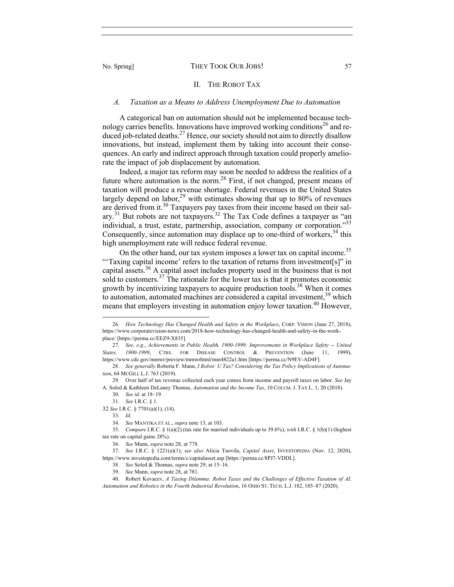#### II. THE ROBOT TAX

### *A. Taxation as a Means to Address Unemployment Due to Automation*

A categorical ban on automation should not be implemented because technology carries benefits. Innovations have improved working conditions<sup>26</sup> and reduced job-related deaths.<sup>27</sup> Hence, our society should not aim to directly disallow innovations, but instead, implement them by taking into account their consequences. An early and indirect approach through taxation could properly ameliorate the impact of job displacement by automation.

Indeed, a major tax reform may soon be needed to address the realities of a future where automation is the norm.<sup>28</sup> First, if not changed, present means of taxation will produce a revenue shortage. Federal revenues in the United States largely depend on labor,<sup>29</sup> with estimates showing that up to 80% of revenues are derived from it.<sup>30</sup> Taxpayers pay taxes from their income based on their salary.<sup>31</sup> But robots are not taxpayers.<sup>32</sup> The Tax Code defines a taxpayer as "an individual, a trust, estate, partnership, association, company or corporation."<sup>33</sup> Consequently, since automation may displace up to one-third of workers,<sup>34</sup> this high unemployment rate will reduce federal revenue.

On the other hand, our tax system imposes a lower tax on capital income.<sup>35</sup> "'Taxing capital income' refers to the taxation of returns from investment[s]" in capital assets.<sup>36</sup> A capital asset includes property used in the business that is not sold to customers.<sup>37</sup> The rationale for the lower tax is that it promotes economic growth by incentivizing taxpayers to acquire production tools.<sup>38</sup> When it comes to automation, automated machines are considered a capital investment,  $39$  which means that employers investing in automation enjoy lower taxation.<sup>40</sup> However,

<sup>26.</sup> *How Technology Has Changed Health and Safety in the Workplace*, CORP. VISION (June 27, 2018), https://www.corporatevision-news.com/2018-how-technology-has-changed-health-and-safety-in-the-workplace/ [https://perma.cc/EEZ9-X835].

<sup>27.</sup> *See, e.g.*, *Achievements in Public Health, 1900-1999: Improvements in Workplace Safety -- United States, 1900-1999*, CTRS. FOR DISEASE CONTROL & PREVENTION (June 11, 1999), https://www.cdc.gov/mmwr/preview/mmwrhtml/mm4822a1.htm [https://perma.cc/N9EV-AD4F].

<sup>28.</sup> *See generally* Roberta F. Mann, *I Robot: U Tax? Considering the Tax Policy Implications of Automation*, 64 MCGILL L.J. 763 (2019).

<sup>29.</sup> Over half of tax revenue collected each year comes from income and payroll taxes on labor. *See* Jay A. Soled & Kathleen DeLaney Thomas, *Automation and the Income Tax*, 10 COLUM. J. TAX L. 1, 20 (2018).

<sup>30.</sup> *See id.* at 18–19.

<sup>31.</sup> *See* I.R.C. § 1.

<sup>32</sup> *See* I.R.C. § 7701(a)(1), (14).

<sup>33.</sup> *Id.*

<sup>34.</sup> *See* MANYIKA ET AL., *supra* note 13, at 103.

<sup>35.</sup> *Compare* I.R.C. § 1(a)(2) (tax rate for married individuals up to 39.6%), *with* I.R.C. § 1(h)(1) (highest tax rate on capital gains 28%).

<sup>36.</sup> *See* Mann, *supra* note 28, at 778.

<sup>37.</sup> *See* I.R.C. § 1221(a)(1); *see also* Alicia Tuovila, *Capital Asset*, INVESTOPEDIA (Nov. 12, 2020), https://www.investopedia.com/terms/c/capitalasset.asp [https://perma.cc/8PJ7-VDDL].

<sup>38.</sup> *See* Soled & Thomas, *supra* note 29, at 15–16.

<sup>39.</sup> *See* Mann, *supra* note 28, at 781.

<sup>40.</sup> Robert Kovacev, *A Taxing Dilemma: Robot Taxes and the Challenges of Effective Taxation of AI, Automation and Robotics in the Fourth Industrial Revolution*, 16 OHIO ST. TECH. L.J. 182, 185–87 (2020).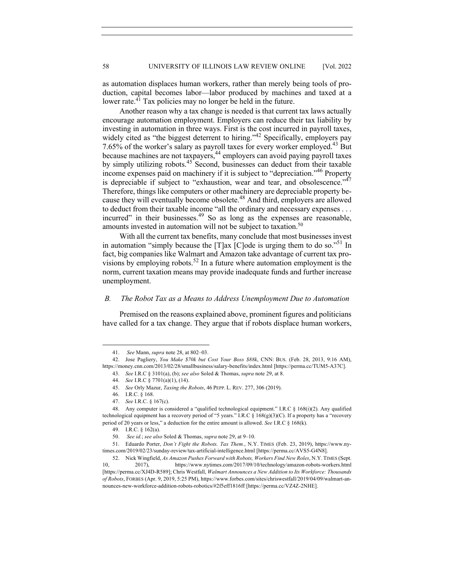as automation displaces human workers, rather than merely being tools of production, capital becomes labor—labor produced by machines and taxed at a lower rate.<sup>41</sup> Tax policies may no longer be held in the future.

Another reason why a tax change is needed is that current tax laws actually encourage automation employment. Employers can reduce their tax liability by investing in automation in three ways. First is the cost incurred in payroll taxes, widely cited as "the biggest deterrent to hiring."<sup>42</sup> Specifically, employers pay 7.65% of the worker's salary as payroll taxes for every worker employed.<sup>43</sup> But because machines are not taxpayers,<sup>44</sup> employers can avoid paying payroll taxes by simply utilizing robots.<sup>45</sup> Second, businesses can deduct from their taxable income expenses paid on machinery if it is subject to "depreciation."46 Property is depreciable if subject to "exhaustion, wear and tear, and obsolescence." $47$ Therefore, things like computers or other machinery are depreciable property because they will eventually become obsolete.<sup>48</sup> And third, employers are allowed to deduct from their taxable income "all the ordinary and necessary expenses . . . incurred" in their businesses.<sup>49</sup> So as long as the expenses are reasonable, amounts invested in automation will not be subject to taxation.<sup>50</sup>

With all the current tax benefits, many conclude that most businesses invest in automation "simply because the  $[T]$ ax  $[C]$ ode is urging them to do so."<sup>51</sup> In fact, big companies like Walmart and Amazon take advantage of current tax provisions by employing robots.<sup>52</sup> In a future where automation employment is the norm, current taxation means may provide inadequate funds and further increase unemployment.

#### *B. The Robot Tax as a Means to Address Unemployment Due to Automation*

Premised on the reasons explained above, prominent figures and politicians have called for a tax change. They argue that if robots displace human workers,

<sup>41.</sup> *See* Mann, *supra* note 28, at 802–03.

<sup>42.</sup> Jose Pagliery, *You Make \$70k but Cost Your Boss \$88k*, CNN: BUS. (Feb. 28, 2013, 9:16 AM), https://money.cnn.com/2013/02/28/smallbusiness/salary-benefits/index.html [https://perma.cc/TUM5-A37C]. 43. *See* I.R.C § 3101(a), (b); *see also* Soled & Thomas, *supra* note 29, at 8.

<sup>44.</sup> *See* I.R.C § 7701(a)(1), (14).

<sup>45.</sup> *See* Orly Mazur, *Taxing the Robots*, 46 PEPP. L. REV. 277, 306 (2019).

<sup>46.</sup> I.R.C. § 168. 47. *See* I.R.C. § 167(c).

<sup>48.</sup> Any computer is considered a "qualified technological equipment." I.R.C § 168(i)(2). Any qualified technological equipment has a recovery period of "5 years." I.R.C § 168(g)(3)(C). If a property has a "recovery period of 20 years or less," a deduction for the entire amount is allowed. *See* I.R.C § 168(k).

<sup>49.</sup> I.R.C. § 162(a).

<sup>50.</sup> *See id.*; *see also* Soled & Thomas, *supra* note 29, at 9–10.

<sup>51.</sup> Eduardo Porter, *Don't Fight the Robots. Tax Them.*, N.Y. TIMES (Feb. 23, 2019), https://www.nytimes.com/2019/02/23/sunday-review/tax-artificial-intelligence.html [https://perma.cc/AVS5-G4N8].

<sup>52.</sup> Nick Wingfield, *As Amazon Pushes Forward with Robots, Workers Find New Roles*, N.Y. TIMES (Sept. 10, 2017), https://www.nytimes.com/2017/09/10/technology/amazon-robots-workers.html [https://perma.cc/XJ4D-R589]; Chris Westfall, *Walmart Announces a New Addition to Its Workforce: Thousands of Robots*, FORBES (Apr. 9, 2019, 5:25 PM), https://www.forbes.com/sites/chriswestfall/2019/04/09/walmart-announces-new-workforce-addition-robots-robotics/#2f5eff1816ff [https://perma.cc/VZ4Z-2NHE].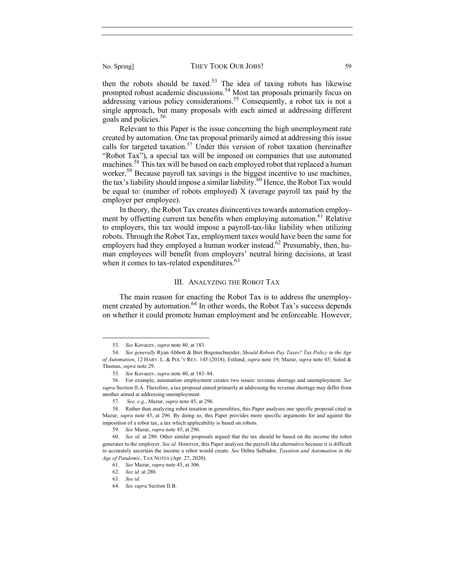then the robots should be taxed.<sup>53</sup> The idea of taxing robots has likewise prompted robust academic discussions.<sup>54</sup> Most tax proposals primarily focus on addressing various policy considerations.<sup>55</sup> Consequently, a robot tax is not a single approach, but many proposals with each aimed at addressing different goals and policies.<sup>56</sup>

Relevant to this Paper is the issue concerning the high unemployment rate created by automation. One tax proposal primarily aimed at addressing this issue calls for targeted taxation.<sup>57</sup> Under this version of robot taxation (hereinafter "Robot Tax"), a special tax will be imposed on companies that use automated machines.<sup>58</sup> This tax will be based on each employed robot that replaced a human worker.<sup>59</sup> Because payroll tax savings is the biggest incentive to use machines, the tax's liability should impose a similar liability.<sup>60</sup> Hence, the Robot Tax would be equal to: (number of robots employed)  $X$  (average payroll tax paid by the employer per employee).

In theory, the Robot Tax creates disincentives towards automation employment by offsetting current tax benefits when employing automation.<sup>61</sup> Relative to employers, this tax would impose a payroll-tax-like liability when utilizing robots. Through the Robot Tax, employment taxes would have been the same for employers had they employed a human worker instead.<sup>62</sup> Presumably, then, human employees will benefit from employers' neutral hiring decisions, at least when it comes to tax-related expenditures.<sup>63</sup>

### III. ANALYZING THE ROBOT TAX

The main reason for enacting the Robot Tax is to address the unemployment created by automation.<sup>64</sup> In other words, the Robot Tax's success depends on whether it could promote human employment and be enforceable. However,

<sup>53.</sup> *See* Kovacev, *supra* note 40, at 183.

<sup>54.</sup> *See generally* Ryan Abbott & Bret Bogenschneider, *Should Robots Pay Taxes? Tax Policy in the Age of Automation*, 12 HARV. L. & POL'Y REV. 145 (2018); Estlund, *supra* note 19; Mazur, *supra* note 45; Soled & Thomas, *supra* note 29.

<sup>55.</sup> *See* Kovacev, *supra* note 40, at 183–84.

<sup>56.</sup> For example, automation employment creates two issues: revenue shortage and unemployment. *See supra* Section II.A. Therefore, a tax proposal aimed primarily at addressing the revenue shortage may differ from another aimed at addressing unemployment.

<sup>57.</sup> *See, e.g.*, Mazur, *supra* note 45, at 296.

<sup>58.</sup> Rather than analyzing robot taxation in generalities, this Paper analyses one specific proposal cited in Mazur, *supra* note 45, at 296. By doing so, this Paper provides more specific arguments for and against the imposition of a robot tax, a tax which applicability is based on robots.

<sup>59.</sup> *See* Mazur, *supra* note 45, at 296.

<sup>60.</sup> *See id.* at 280. Other similar proposals argued that the tax should be based on the income the robot generates to the employer. *See id.* However, this Paper analyzes the payroll-like alternative because it is difficult to accurately ascertain the income a robot would create. *See* Debra Salbador, *Taxation and Automation in the Age of Pandemic*, TAX NOTES (Apr. 27, 2020).

<sup>61.</sup> *See* Mazur, *supra* note 45, at 306.

<sup>62.</sup> *See id.* at 280.

<sup>63.</sup> *See id.*

<sup>64.</sup> *See supra* Section II.B.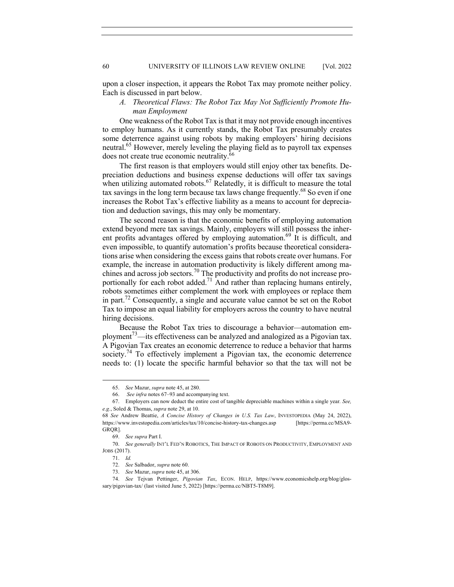upon a closer inspection, it appears the Robot Tax may promote neither policy. Each is discussed in part below.

## *A. Theoretical Flaws: The Robot Tax May Not Sufficiently Promote Human Employment*

One weakness of the Robot Tax is that it may not provide enough incentives to employ humans. As it currently stands, the Robot Tax presumably creates some deterrence against using robots by making employers' hiring decisions neutral.<sup>65</sup> However, merely leveling the playing field as to payroll tax expenses does not create true economic neutrality.<sup>66</sup>

The first reason is that employers would still enjoy other tax benefits. Depreciation deductions and business expense deductions will offer tax savings when utilizing automated robots.<sup>67</sup> Relatedly, it is difficult to measure the total tax savings in the long term because tax laws change frequently.<sup>68</sup> So even if one increases the Robot Tax's effective liability as a means to account for depreciation and deduction savings, this may only be momentary.

The second reason is that the economic benefits of employing automation extend beyond mere tax savings. Mainly, employers will still possess the inherent profits advantages offered by employing automation.<sup>69</sup> It is difficult, and even impossible, to quantify automation's profits because theoretical considerations arise when considering the excess gains that robots create over humans. For example, the increase in automation productivity is likely different among machines and across job sectors.<sup>70</sup> The productivity and profits do not increase proportionally for each robot added.<sup>71</sup> And rather than replacing humans entirely, robots sometimes either complement the work with employees or replace them in part.<sup> $12$ </sup> Consequently, a single and accurate value cannot be set on the Robot Tax to impose an equal liability for employers across the country to have neutral hiring decisions.

Because the Robot Tax tries to discourage a behavior—automation employment<sup>73</sup>—its effectiveness can be analyzed and analogized as a Pigovian tax. A Pigovian Tax creates an economic deterrence to reduce a behavior that harms society.<sup>74</sup> To effectively implement a Pigovian tax, the economic deterrence needs to: (1) locate the specific harmful behavior so that the tax will not be

<sup>65.</sup> *See* Mazur, *supra* note 45, at 280.

<sup>66.</sup> *See infra* notes 67–93 and accompanying text.

<sup>67.</sup> Employers can now deduct the entire cost of tangible depreciable machines within a single year*. See, e.g.*, Soled & Thomas, *supra* note 29, at 10.

<sup>68</sup> *See* Andrew Beattie, *A Concise History of Changes in U.S. Tax Law*, INVESTOPEDIA (May 24, 2022), https://www.investopedia.com/articles/tax/10/concise-history-tax-changes.asp [https://perma.cc/MSA9- GRQR].

<sup>69.</sup> *See supra* Part I.

<sup>70.</sup> *See generally* INT'L FED'N ROBOTICS, THE IMPACT OF ROBOTS ON PRODUCTIVITY, EMPLOYMENT AND JOBS (2017).

<sup>71.</sup> *Id.*

<sup>72.</sup> *See* Salbador, *supra* note 60.

<sup>73.</sup> *See* Mazur, *supra* note 45, at 306.

<sup>74.</sup> *See* Tejvan Pettinger, *Pigovian Tax*, ECON. HELP, https://www.economicshelp.org/blog/glossary/pigovian-tax/ (last visited June 5, 2022) [https://perma.cc/NBT5-T8M9].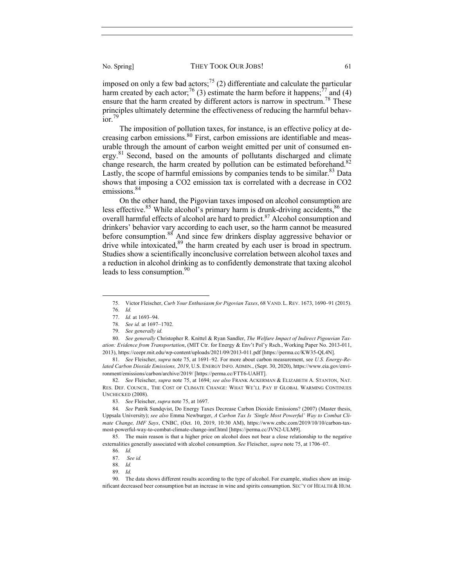imposed on only a few bad actors;<sup>75</sup> (2) differentiate and calculate the particular harm created by each actor;<sup>76</sup> (3) estimate the harm before it happens;<sup>77</sup> and (4) ensure that the harm created by different actors is narrow in spectrum.<sup>78</sup> These principles ultimately determine the effectiveness of reducing the harmful behav- $\frac{1}{1}$ ior.<sup>79</sup>

The imposition of pollution taxes, for instance, is an effective policy at decreasing carbon emissions.<sup>80</sup> First, carbon emissions are identifiable and measurable through the amount of carbon weight emitted per unit of consumed energy.<sup>81</sup> Second, based on the amounts of pollutants discharged and climate change research, the harm created by pollution can be estimated beforehand.<sup>82</sup> Lastly, the scope of harmful emissions by companies tends to be similar.<sup>83</sup> Data shows that imposing a CO2 emission tax is correlated with a decrease in CO2 emissions.<sup>84</sup>

On the other hand, the Pigovian taxes imposed on alcohol consumption are less effective.<sup>85</sup> While alcohol's primary harm is drunk-driving accidents,  $86$  the overall harmful effects of alcohol are hard to predict.<sup>87</sup> Alcohol consumption and drinkers' behavior vary according to each user, so the harm cannot be measured before consumption.<sup>88</sup> And since few drinkers display aggressive behavior or drive while intoxicated,<sup>89</sup> the harm created by each user is broad in spectrum. Studies show a scientifically inconclusive correlation between alcohol taxes and a reduction in alcohol drinking as to confidently demonstrate that taxing alcohol leads to less consumption.<sup>90</sup>

<sup>75.</sup> Victor Fleischer, *Curb Your Enthusiasm for Pigovian Taxes*, 68 VAND. L. REV. 1673, 1690–91 (2015). 76. *Id.*

<sup>77.</sup> *Id.* at 1693–94.

<sup>78.</sup> *See id.* at 1697–1702.

<sup>79.</sup> *See generally id.*

<sup>80.</sup> *See generally* Christopher R. Knittel & Ryan Sandler, *The Welfare Impact of Indirect Pigouvian Taxation: Evidence from Transportation*, (MIT Ctr. for Energy & Env't Pol'y Rsch., Working Paper No. 2013-011, 2013), https://ceepr.mit.edu/wp-content/uploads/2021/09/2013-011.pdf [https://perma.cc/KW35-QL4N].

<sup>81.</sup> *See* Fleischer, *supra* note 75, at 1691–92. For more about carbon measurement, see *U.S. Energy-Related Carbon Dioxide Emissions, 2019*, U.S. ENERGY INFO. ADMIN., (Sept. 30, 2020), https://www.eia.gov/environment/emissions/carbon/archive/2019/ [https://perma.cc/FTT6-UAHT].

<sup>82.</sup> *See* Fleischer, *supra* note 75, at 1694; *see also* FRANK ACKERMAN & ELIZABETH A. STANTON, NAT. RES. DEF. COUNCIL, THE COST OF CLIMATE CHANGE: WHAT WE'LL PAY IF GLOBAL WARMING CONTINUES UNCHECKED (2008).

<sup>83.</sup> *See* Fleischer, *supra* note 75, at 1697.

<sup>84.</sup> *See* Patrik Sundqvist, Do Energy Taxes Decrease Carbon Dioxide Emissions? (2007) (Master thesis, Uppsala University); *see also* Emma Newburger, *A Carbon Tax Is 'Single Most Powerful' Way to Combat Climate Change, IMF Says*, CNBC, (Oct. 10, 2019, 10:30 AM), https://www.cnbc.com/2019/10/10/carbon-taxmost-powerful-way-to-combat-climate-change-imf.html [https://perma.cc/JVN2-ULM9].

<sup>85.</sup> The main reason is that a higher price on alcohol does not bear a close relationship to the negative externalities generally associated with alcohol consumption. *See* Fleischer, *supra* note 75, at 1706–07.

<sup>86.</sup> *Id.*

<sup>87.</sup> *See id.*

<sup>88.</sup> *Id.* 89. *Id.*

<sup>90.</sup> The data shows different results according to the type of alcohol. For example, studies show an insignificant decreased beer consumption but an increase in wine and spirits consumption. SEC'Y OF HEALTH & HUM.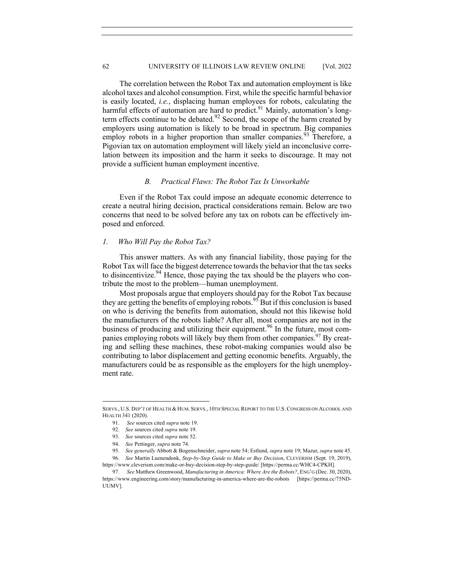The correlation between the Robot Tax and automation employment is like alcohol taxes and alcohol consumption. First, while the specific harmful behavior is easily located, *i.e.*, displacing human employees for robots, calculating the harmful effects of automation are hard to predict.<sup>91</sup> Mainly, automation's longterm effects continue to be debated.<sup>92</sup> Second, the scope of the harm created by employers using automation is likely to be broad in spectrum. Big companies employ robots in a higher proportion than smaller companies.<sup>93</sup> Therefore, a Pigovian tax on automation employment will likely yield an inconclusive correlation between its imposition and the harm it seeks to discourage. It may not provide a sufficient human employment incentive.

#### *B. Practical Flaws: The Robot Tax Is Unworkable*

Even if the Robot Tax could impose an adequate economic deterrence to create a neutral hiring decision, practical considerations remain. Below are two concerns that need to be solved before any tax on robots can be effectively imposed and enforced.

#### *1. Who Will Pay the Robot Tax?*

This answer matters. As with any financial liability, those paying for the Robot Tax will face the biggest deterrence towards the behavior that the tax seeks to disincentivize.<sup>94</sup> Hence, those paying the tax should be the players who contribute the most to the problem—human unemployment.

Most proposals argue that employers should pay for the Robot Tax because they are getting the benefits of employing robots.<sup>95</sup> But if this conclusion is based on who is deriving the benefits from automation, should not this likewise hold the manufacturers of the robots liable? After all, most companies are not in the business of producing and utilizing their equipment.<sup>96</sup> In the future, most companies employing robots will likely buy them from other companies.<sup>97</sup> By creating and selling these machines, these robot-making companies would also be contributing to labor displacement and getting economic benefits. Arguably, the manufacturers could be as responsible as the employers for the high unemployment rate.

SERVS., U.S. DEP'T OF HEALTH & HUM. SERVS., 10TH SPECIAL REPORT TO THE U.S.CONGRESS ON ALCOHOL AND HEALTH 341 (2020).

<sup>91.</sup> *See* sources cited *supra* note 19.

<sup>92.</sup> *See* sources cited *supra* note 19.

<sup>93.</sup> *See* sources cited *supra* note 52.

<sup>94.</sup> *See* Pettinger, *supra* note 74.

<sup>95.</sup> *See generally* Abbott & Bogenschneider, *supra* note 54; Estlund, *supra* note 19; Mazur, *supra* note 45.

<sup>96.</sup> *See* Martin Luenendonk, *Step-by-Step Guide to Make or Buy Decision*, CLEVERISM (Sept. 19, 2019), https://www.cleverism.com/make-or-buy-decision-step-by-step-guide/ [https://perma.cc/WHC4-CPKH]. 97. *See* Matthew Greenwood, *Manufacturing in America: Where Are the Robots?*, ENG'G (Dec. 30, 2020),

https://www.engineering.com/story/manufacturing-in-america-where-are-the-robots [https://perma.cc/75ND-UUMV].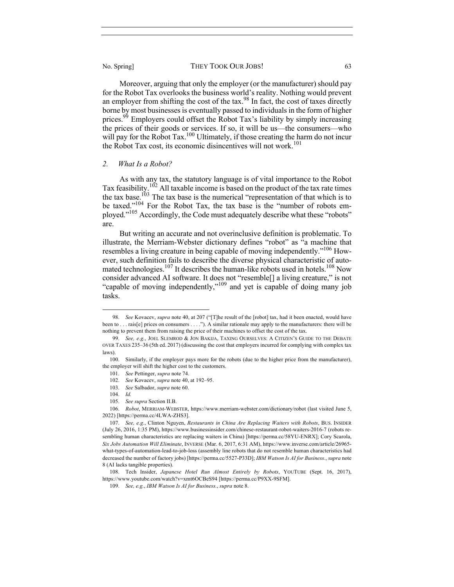Moreover, arguing that only the employer (or the manufacturer) should pay for the Robot Tax overlooks the business world's reality. Nothing would prevent an employer from shifting the cost of the tax.<sup>98</sup> In fact, the cost of taxes directly borne by most businesses is eventually passed to individuals in the form of higher prices.<sup>99</sup> Employers could offset the Robot Tax's liability by simply increasing the prices of their goods or services. If so, it will be us—the consumers—who will pay for the Robot Tax.<sup>100</sup> Ultimately, if those creating the harm do not incur the Robot Tax cost, its economic disincentives will not work.<sup>101</sup>

#### *2. What Is a Robot?*

As with any tax, the statutory language is of vital importance to the Robot Tax feasibility.<sup>102</sup> All taxable income is based on the product of the tax rate times the tax base.<sup>103</sup> The tax base is the numerical "representation of that which is to be taxed."104 For the Robot Tax, the tax base is the "number of robots employed."<sup>105</sup> Accordingly, the Code must adequately describe what these "robots" are.

But writing an accurate and not overinclusive definition is problematic. To illustrate, the Merriam-Webster dictionary defines "robot" as "a machine that resembles a living creature in being capable of moving independently."<sup>106</sup> However, such definition fails to describe the diverse physical characteristic of automated technologies.<sup>107</sup> It describes the human-like robots used in hotels.<sup>108</sup> Now consider advanced AI software. It does not "resemble[] a living creature," is not "capable of moving independently,"<sup>109</sup> and yet is capable of doing many job tasks.

<sup>98.</sup> *See* Kovacev, *supra* note 40, at 207 ("[T]he result of the [robot] tax, had it been enacted, would have been to . . . rais[e] prices on consumers . . . ."). A similar rationale may apply to the manufacturers: there will be nothing to prevent them from raising the price of their machines to offset the cost of the tax.

<sup>99.</sup> *See, e.g.*, JOEL SLEMROD & JON BAKIJA, TAXING OURSELVES: A CITIZEN'S GUIDE TO THE DEBATE OVER TAXES 235–36 (5th ed. 2017) (discussing the cost that employers incurred for complying with complex tax laws).

<sup>100.</sup> Similarly, if the employer pays more for the robots (due to the higher price from the manufacturer), the employer will shift the higher cost to the customers.

<sup>101.</sup> *See* Pettinger, *supra* note 74.

<sup>102.</sup> *See* Kovacev, *supra* note 40, at 192–95.

<sup>103.</sup> *See* Salbador, *supra* note 60.

<sup>104.</sup> *Id.*

<sup>105.</sup> *See supra* Section II.B.

<sup>106.</sup> *Robot*, MERRIAM-WEBSTER, https://www.merriam-webster.com/dictionary/robot (last visited June 5, 2022) [https://perma.cc/4LWA-ZHS3].

<sup>107.</sup> *See, e.g.*, Clinton Nguyen, *Restaurants in China Are Replacing Waiters with Robots*, BUS. INSIDER (July 26, 2016, 1:35 PM), https://www.businessinsider.com/chinese-restaurant-robot-waiters-2016-7 (robots resembling human characteristics are replacing waiters in China) [https://perma.cc/58YU-ENRX]; Cory Scarola, *Six Jobs Automation Will Eliminate*, INVERSE (Mar. 6, 2017, 6:31 AM), https://www.inverse.com/article/26965 what-types-of-automation-lead-to-job-loss (assembly line robots that do not resemble human characteristics had decreased the number of factory jobs) [https://perma.cc/5527-P33D]; *IBM Watson Is AI for Business.*, *supra* note 8 (AI lacks tangible properties).

<sup>108.</sup> Tech Insider, *Japanese Hotel Run Almost Entirely by Robots*, YOUTUBE (Sept. 16, 2017), https://www.youtube.com/watch?v=xmt6OCBeS94 [https://perma.cc/P9XX-9SFM].

<sup>109.</sup> *See, e.g.*, *IBM Watson Is AI for Business.*, *supra* note 8.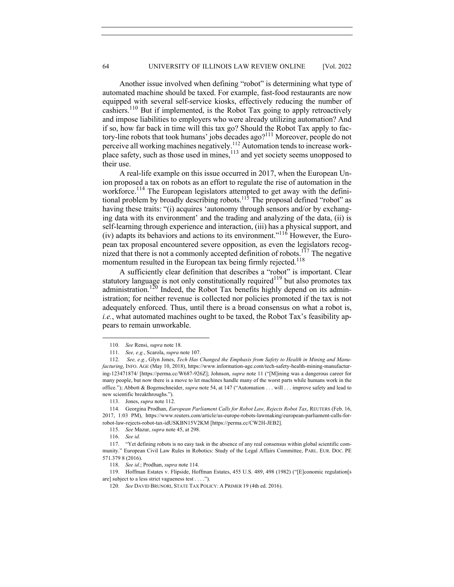Another issue involved when defining "robot" is determining what type of automated machine should be taxed. For example, fast-food restaurants are now equipped with several self-service kiosks, effectively reducing the number of cashiers.<sup>110</sup> But if implemented, is the Robot Tax going to apply retroactively and impose liabilities to employers who were already utilizing automation? And if so, how far back in time will this tax go? Should the Robot Tax apply to factory-line robots that took humans' jobs decades ago?111 Moreover, people do not perceive all working machines negatively.<sup>112</sup> Automation tends to increase workplace safety, such as those used in mines,  $113$  and yet society seems unopposed to their use.

A real-life example on this issue occurred in 2017, when the European Union proposed a tax on robots as an effort to regulate the rise of automation in the workforce.<sup>114</sup> The European legislators attempted to get away with the definitional problem by broadly describing robots.<sup>115</sup> The proposal defined "robot" as having these traits: "(i) acquires 'autonomy through sensors and/or by exchanging data with its environment' and the trading and analyzing of the data, (ii) is self-learning through experience and interaction, (iii) has a physical support, and (iv) adapts its behaviors and actions to its environment."<sup>116</sup> However, the European tax proposal encountered severe opposition, as even the legislators recognized that there is not a commonly accepted definition of robots.<sup>117</sup> The negative momentum resulted in the European tax being firmly rejected.<sup>118</sup>

A sufficiently clear definition that describes a "robot" is important. Clear statutory language is not only constitutionally required<sup>119</sup> but also promotes tax administration.<sup>120</sup> Indeed, the Robot Tax benefits highly depend on its administration; for neither revenue is collected nor policies promoted if the tax is not adequately enforced. Thus, until there is a broad consensus on what a robot is, *i.e.*, what automated machines ought to be taxed, the Robot Tax's feasibility appears to remain unworkable.

<sup>110.</sup> *See* Rensi, *supra* note 18.

<sup>111.</sup> *See, e.g.*, Scarola, *supra* note 107.

<sup>112.</sup> *See, e.g.*, Glyn Jones, *Tech Has Changed the Emphasis from Safety to Health in Mining and Manufacturing*, INFO. AGE (May 10, 2018), https://www.information-age.com/tech-safety-health-mining-manufacturing-123471874/ [https://perma.cc/W687-926Z]; Johnson, *supra* note 11 ("[M]ining was a dangerous career for many people, but now there is a move to let machines handle many of the worst parts while humans work in the office."); Abbott & Bogenschneider, *supra* note 54, at 147 ("Automation . . . will . . . improve safety and lead to new scientific breakthroughs.").

<sup>113.</sup> Jones, *supra* note 112.

<sup>114.</sup> Georgina Prodhan, *European Parliament Calls for Robot Law, Rejects Robot Tax*, REUTERS (Feb. 16, 2017, 1:03 PM), https://www.reuters.com/article/us-europe-robots-lawmaking/european-parliament-calls-forrobot-law-rejects-robot-tax-idUSKBN15V2KM [https://perma.cc/CW2H-JEB2].

<sup>115.</sup> *See* Mazur, *supra* note 45, at 298.

<sup>116.</sup> *See id.*

<sup>117.</sup> "Yet defining robots is no easy task in the absence of any real consensus within global scientific community." European Civil Law Rules in Robotics: Study of the Legal Affairs Committee, PARL. EUR. DOC. PE 571.379 8 (2016).

<sup>118.</sup> *See id.*; Prodhan, *supra* note 114.

<sup>119.</sup> Hoffman Estates v. Flipside, Hoffman Estates, 455 U.S. 489, 498 (1982) ("[E]conomic regulation[s are] subject to a less strict vagueness test . . . .").

<sup>120.</sup> *See* DAVID BRUNORI, STATE TAX POLICY: A PRIMER 19 (4th ed. 2016).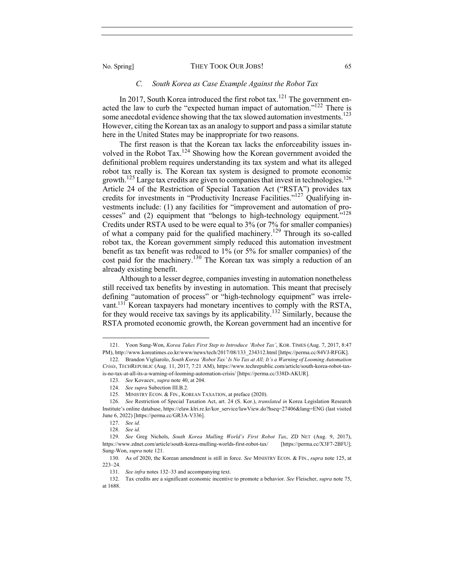### *C. South Korea as Case Example Against the Robot Tax*

In 2017, South Korea introduced the first robot tax.<sup>121</sup> The government enacted the law to curb the "expected human impact of automation."<sup>122</sup> There is some anecdotal evidence showing that the tax slowed automation investments.<sup>123</sup> However, citing the Korean tax as an analogy to support and pass a similar statute here in the United States may be inappropriate for two reasons.

The first reason is that the Korean tax lacks the enforceability issues involved in the Robot Tax.<sup>124</sup> Showing how the Korean government avoided the definitional problem requires understanding its tax system and what its alleged robot tax really is. The Korean tax system is designed to promote economic growth.<sup>125</sup> Large tax credits are given to companies that invest in technologies.<sup>126</sup> Article 24 of the Restriction of Special Taxation Act ("RSTA") provides tax credits for investments in "Productivity Increase Facilities."<sup>127</sup> Qualifying investments include: (1) any facilities for "improvement and automation of processes" and (2) equipment that "belongs to high-technology equipment."<sup>128</sup> Credits under RSTA used to be were equal to 3% (or 7% for smaller companies) of what a company paid for the qualified machinery.<sup>129</sup> Through its so-called robot tax, the Korean government simply reduced this automation investment benefit as tax benefit was reduced to 1% (or 5% for smaller companies) of the cost paid for the machinery.<sup>130</sup> The Korean tax was simply a reduction of an already existing benefit.

Although to a lesser degree, companies investing in automation nonetheless still received tax benefits by investing in automation. This meant that precisely defining "automation of process" or "high-technology equipment" was irrelevant.131 Korean taxpayers had monetary incentives to comply with the RSTA, for they would receive tax savings by its applicability.<sup>132</sup> Similarly, because the RSTA promoted economic growth, the Korean government had an incentive for

<sup>121.</sup> Yoon Sung-Won, *Korea Takes First Step to Introduce 'Robot Tax'*, KOR. TIMES (Aug. 7, 2017, 8:47 PM), http://www.koreatimes.co.kr/www/news/tech/2017/08/133\_234312.html [https://perma.cc/84VJ-RFGK].

<sup>122.</sup> Brandon Vigliarolo, *South Korea 'Robot Tax' Is No Tax at All; It's a Warning of Looming Automation Crisis*, TECHREPUBLIC (Aug. 11, 2017, 7:21 AM), https://www.techrepublic.com/article/south-korea-robot-taxis-no-tax-at-all-its-a-warning-of-looming-automation-crisis/ [https://perma.cc/338D-AKUR].

<sup>123.</sup> *See* Kovacev, *supra* note 40, at 204.

<sup>124.</sup> *See supra* Subection III.B.2.

<sup>125.</sup> MINISTRY ECON. & FIN., KOREAN TAXATION, at preface (2020).

<sup>126.</sup> *See* Restriction of Special Taxation Act, art. 24 (S. Kor.), *translated in* Korea Legislation Research Institute's online database, https://elaw.klri.re.kr/kor\_service/lawView.do?hseq=27406&lang=ENG (last visited June 6, 2022) [https://perma.cc/GR3A-V336].

<sup>127.</sup> *See id.*

<sup>128.</sup> *See id.*

<sup>129.</sup> *See* Greg Nichols, *South Korea Mulling World's First Robot Tax*, ZD NET (Aug. 9, 2017), https://www.zdnet.com/article/south-korea-mulling-worlds-first-robot-tax/ [https://perma.cc/X3F7-2BFU]; Sung-Won, *supra* note 121.

<sup>130.</sup> As of 2020, the Korean amendment is still in force. *See* MINISTRY ECON. & FIN., *supra* note 125, at 223–24.

<sup>131.</sup> *See infra* notes 132–33 and accompanying text.

<sup>132.</sup> Tax credits are a significant economic incentive to promote a behavior. *See* Fleischer, *supra* note 75, at 1688.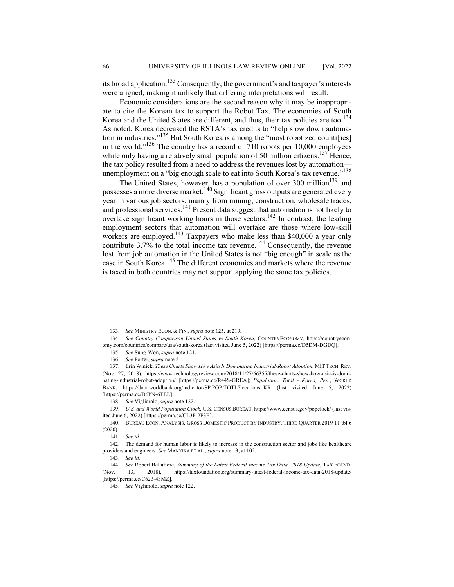its broad application.<sup>133</sup> Consequently, the government's and taxpayer's interests were aligned, making it unlikely that differing interpretations will result.

Economic considerations are the second reason why it may be inappropriate to cite the Korean tax to support the Robot Tax. The economies of South Korea and the United States are different, and thus, their tax policies are too.<sup>134</sup> As noted, Korea decreased the RSTA's tax credits to "help slow down automation in industries."<sup>135</sup> But South Korea is among the "most robotized countr[ies] in the world."<sup>136</sup> The country has a record of 710 robots per 10,000 employees while only having a relatively small population of 50 million citizens.<sup>137</sup> Hence, the tax policy resulted from a need to address the revenues lost by automation unemployment on a "big enough scale to eat into South Korea's tax revenue."<sup>138</sup>

The United States, however, has a population of over 300 million<sup>139</sup> and possesses a more diverse market.<sup>140</sup> Significant gross outputs are generated every year in various job sectors, mainly from mining, construction, wholesale trades, and professional services.<sup>141</sup> Present data suggest that automation is not likely to overtake significant working hours in those sectors.<sup>142</sup> In contrast, the leading employment sectors that automation will overtake are those where low-skill workers are employed.<sup>143</sup> Taxpayers who make less than \$40,000 a year only contribute  $3.7\%$  to the total income tax revenue.<sup>144</sup> Consequently, the revenue lost from job automation in the United States is not "big enough" in scale as the case in South Korea.<sup>145</sup> The different economies and markets where the revenue is taxed in both countries may not support applying the same tax policies.

<sup>133.</sup> *See* MINISTRY ECON. & FIN., *supra* note 125, at 219.

<sup>134.</sup> *See Country Comparison United States vs South Korea*, COUNTRYECONOMY, https://countryeconomy.com/countries/compare/usa/south-korea (last visited June 5, 2022) [https://perma.cc/D5DM-DGDQ].

<sup>135.</sup> *See* Sung-Won, *supra* note 121.

<sup>136.</sup> *See* Porter, *supra* note 51.

<sup>137.</sup> Erin Winick, *These Charts Show How Asia Is Dominating Industrial-Robot Adoption*, MIT TECH.REV. (Nov. 27, 2018), https://www.technologyreview.com/2018/11/27/66355/these-charts-show-how-asia-is-dominating-industrial-robot-adoption/ [https://perma.cc/R44S-GREA]; *Population, Total - Korea, Rep.*, WORLD BANK, https://data.worldbank.org/indicator/SP.POP.TOTL?locations=KR (last visited June 5, 2022) [https://perma.cc/D6PN-6TEL].

<sup>138.</sup> *See* Vigliarolo, *supra* note 122.

<sup>139.</sup> *U.S. and World Population Clock*, U.S. CENSUS BUREAU, https://www.census.gov/popclock/ (last visited June 6, 2022) [https://perma.cc/CL3F-2F3E].

<sup>140.</sup> BUREAU ECON. ANALYSIS, GROSS DOMESTIC PRODUCT BY INDUSTRY, THIRD QUARTER 2019 11 tbl.6 (2020).

<sup>141.</sup> *See id.*

<sup>142.</sup> The demand for human labor is likely to increase in the construction sector and jobs like healthcare providers and engineers. *See* MANYIKA ET AL., *supra* note 13, at 102.

<sup>143.</sup> *See id.*

<sup>144.</sup> *See* Robert Bellafiore, *Summary of the Latest Federal Income Tax Data, 2018 Update*, TAX FOUND. (Nov. 13, 2018), https://taxfoundation.org/summary-latest-federal-income-tax-data-2018-update/ [https://perma.cc/C623-43MZ].

<sup>145.</sup> *See* Vigliarolo, *supra* note 122.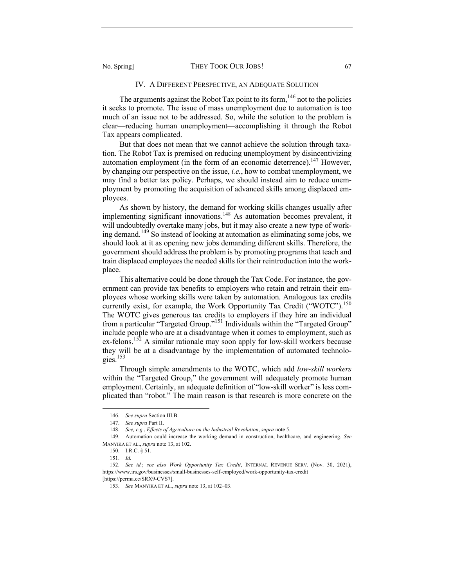#### IV. A DIFFERENT PERSPECTIVE, AN ADEQUATE SOLUTION

The arguments against the Robot Tax point to its form,  $146$  not to the policies it seeks to promote. The issue of mass unemployment due to automation is too much of an issue not to be addressed. So, while the solution to the problem is clear—reducing human unemployment—accomplishing it through the Robot Tax appears complicated.

But that does not mean that we cannot achieve the solution through taxation. The Robot Tax is premised on reducing unemployment by disincentivizing automation employment (in the form of an economic deterrence).<sup>147</sup> However, by changing our perspective on the issue, *i.e.*, how to combat unemployment, we may find a better tax policy. Perhaps, we should instead aim to reduce unemployment by promoting the acquisition of advanced skills among displaced employees.

As shown by history, the demand for working skills changes usually after implementing significant innovations.<sup>148</sup> As automation becomes prevalent, it will undoubtedly overtake many jobs, but it may also create a new type of working demand.<sup>149</sup> So instead of looking at automation as eliminating some jobs, we should look at it as opening new jobs demanding different skills. Therefore, the government should address the problem is by promoting programs that teach and train displaced employees the needed skills for their reintroduction into the workplace.

This alternative could be done through the Tax Code. For instance, the government can provide tax benefits to employers who retain and retrain their employees whose working skills were taken by automation. Analogous tax credits currently exist, for example, the Work Opportunity Tax Credit ("WOTC").<sup>150</sup> The WOTC gives generous tax credits to employers if they hire an individual from a particular "Targeted Group."<sup>151</sup> Individuals within the "Targeted Group" include people who are at a disadvantage when it comes to employment, such as ex-felons.<sup>152</sup> A similar rationale may soon apply for low-skill workers because they will be at a disadvantage by the implementation of automated technologies. 153

Through simple amendments to the WOTC, which add *low-skill workers* within the "Targeted Group," the government will adequately promote human employment. Certainly, an adequate definition of "low-skill worker" is less complicated than "robot." The main reason is that research is more concrete on the

<sup>146.</sup> *See supra* Section III.B.

<sup>147.</sup> *See supra* Part II.

<sup>148.</sup> *See, e.g.*, *Effects of Agriculture on the Industrial Revolution*, *supra* note 5.

<sup>149.</sup> Automation could increase the working demand in construction, healthcare, and engineering. *See* MANYIKA ET AL., *supra* note 13, at 102.

<sup>150.</sup> I.R.C. § 51.

<sup>151.</sup> *Id.*

<sup>152.</sup> *See id.*; *see also Work Opportunity Tax Credit*, INTERNAL REVENUE SERV. (Nov. 30, 2021), https://www.irs.gov/businesses/small-businesses-self-employed/work-opportunity-tax-credit

<sup>[</sup>https://perma.cc/SRX9-CVS7].

<sup>153.</sup> *See* MANYIKA ET AL., *supra* note 13, at 102–03.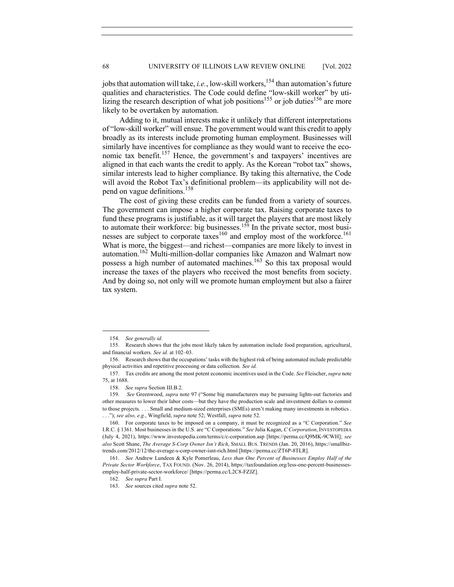jobs that automation will take, *i.e.*, low-skill workers,<sup>154</sup> than automation's future qualities and characteristics. The Code could define "low-skill worker" by utilizing the research description of what job positions<sup>155</sup> or job duties<sup>156</sup> are more likely to be overtaken by automation.

Adding to it, mutual interests make it unlikely that different interpretations of "low-skill worker" will ensue. The government would want this credit to apply broadly as its interests include promoting human employment. Businesses will similarly have incentives for compliance as they would want to receive the economic tax benefit.<sup>157</sup> Hence, the government's and taxpayers' incentives are aligned in that each wants the credit to apply. As the Korean "robot tax" shows, similar interests lead to higher compliance. By taking this alternative, the Code will avoid the Robot Tax's definitional problem—its applicability will not depend on vague definitions.<sup>158</sup>

The cost of giving these credits can be funded from a variety of sources. The government can impose a higher corporate tax. Raising corporate taxes to fund these programs is justifiable, as it will target the players that are most likely to automate their workforce: big businesses.<sup>159</sup> In the private sector, most businesses are subject to corporate taxes<sup>160</sup> and employ most of the workforce.<sup>161</sup> What is more, the biggest—and richest—companies are more likely to invest in automation.<sup>162</sup> Multi-million-dollar companies like Amazon and Walmart now possess a high number of automated machines.<sup>163</sup> So this tax proposal would increase the taxes of the players who received the most benefits from society. And by doing so, not only will we promote human employment but also a fairer tax system.

<sup>154.</sup> *See generally id.*

<sup>155.</sup> Research shows that the jobs most likely taken by automation include food preparation, agricultural, and financial workers*. See id.* at 102–03.

<sup>156.</sup> Research shows that the occupations' tasks with the highest risk of being automated include predictable physical activities and repetitive processing or data collection*. See id.*

<sup>157.</sup> Tax credits are among the most potent economic incentives used in the Code. *See* Fleischer, *supra* note 75, at 1688.

<sup>158.</sup> *See supra* Section III.B.2.

<sup>159.</sup> *See* Greenwood, *supra* note 97 ("Some big manufacturers may be pursuing lights-out factories and other measures to lower their labor costs—but they have the production scale and investment dollars to commit to those projects. . . . Small and medium-sized enterprises (SMEs) aren't making many investments in robotics . . . ."); *see also, e.g.*, Wingfield, *supra* note 52; Westfall, *supra* note 52.

<sup>160.</sup> For corporate taxes to be imposed on a company, it must be recognized as a "C Corporation." *See* I.R.C. § 1361. Most businesses in the U.S. are "C Corporations." *See* Julia Kagan, *C Corporation*, INVESTOPEDIA (July 4, 2021), https://www.investopedia.com/terms/c/c-corporation.asp [https://perma.cc/Q9MK-9CWH]; *see also* Scott Shane, *The Average S-Corp Owner Isn't Rich*, SMALL BUS. TRENDS (Jan. 20, 2016), https://smallbiztrends.com/2012/12/the-average-s-corp-owner-isnt-rich.html [https://perma.cc/ZT6P-8TLR].

<sup>161.</sup> *See* Andrew Lundeen & Kyle Pomerleau, *Less than One Percent of Businesses Employ Half of the Private Sector Workforce*, TAX FOUND. (Nov. 26, 2014), https://taxfoundation.org/less-one-percent-businessesemploy-half-private-sector-workforce/ [https://perma.cc/L2C8-FZJZ].

<sup>162.</sup> *See supra* Part I.

<sup>163.</sup> *See* sources cited *supra* note 52.